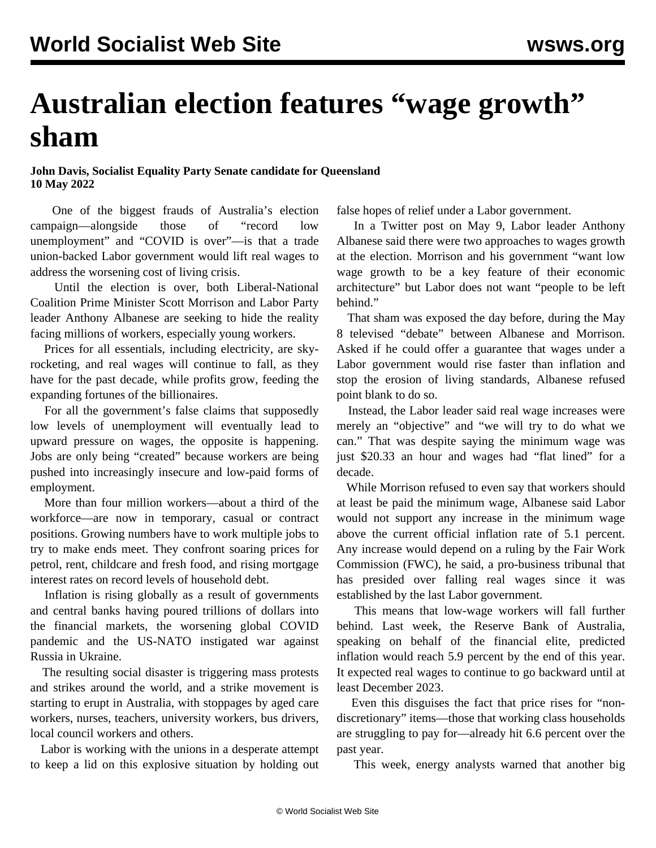## **Australian election features "wage growth" sham**

**John Davis, Socialist Equality Party Senate candidate for Queensland 10 May 2022**

 One of the biggest frauds of Australia's election campaign—alongside those of "record low unemployment" and "COVID is over"—is that a trade union-backed Labor government would lift real wages to address the worsening cost of living crisis.

 Until the election is over, both Liberal-National Coalition Prime Minister Scott Morrison and Labor Party leader Anthony Albanese are seeking to hide the reality facing millions of workers, especially young workers.

 Prices for all essentials, including electricity, are skyrocketing, and real wages will continue to fall, as they have for the past decade, while profits grow, feeding the expanding fortunes of the billionaires.

 For all the government's false claims that supposedly low levels of unemployment will eventually lead to upward pressure on wages, the opposite is happening. Jobs are only being "created" because workers are being pushed into increasingly insecure and low-paid forms of employment.

 More than four million workers—about a third of the workforce—are now in temporary, casual or contract positions. Growing numbers have to work multiple jobs to try to make ends meet. They confront soaring prices for petrol, rent, childcare and fresh food, and rising mortgage interest rates on record levels of household debt.

 Inflation is rising globally as a result of governments and central banks having poured trillions of dollars into the financial markets, the worsening global COVID pandemic and the US-NATO instigated war against Russia in Ukraine.

 The resulting social disaster is triggering mass protests and strikes around the world, and a strike movement is starting to erupt in Australia, with stoppages by aged care workers, nurses, teachers, university workers, bus drivers, local council workers and others.

 Labor is working with the unions in a desperate attempt to keep a lid on this explosive situation by holding out false hopes of relief under a Labor government.

 In a Twitter post on May 9, Labor leader Anthony Albanese said there were two approaches to wages growth at the election. Morrison and his government "want low wage growth to be a key feature of their economic architecture" but Labor does not want "people to be left behind."

 That sham was exposed the day before, during the May 8 televised "debate" between Albanese and Morrison. Asked if he could offer a guarantee that wages under a Labor government would rise faster than inflation and stop the erosion of living standards, Albanese refused point blank to do so.

 Instead, the Labor leader said real wage increases were merely an "objective" and "we will try to do what we can." That was despite saying the minimum wage was just \$20.33 an hour and wages had "flat lined" for a decade.

 While Morrison refused to even say that workers should at least be paid the minimum wage, Albanese said Labor would not support any increase in the minimum wage above the current official inflation rate of 5.1 percent. Any increase would depend on a ruling by the Fair Work Commission (FWC), he said, a pro-business tribunal that has presided over falling real wages since it was established by the last Labor government.

 This means that low-wage workers will fall further behind. Last week, the Reserve Bank of Australia, speaking on behalf of the financial elite, predicted inflation would reach 5.9 percent by the end of this year. It expected real wages to continue to go backward until at least December 2023.

 Even this disguises the fact that price rises for "nondiscretionary" items—those that working class households are struggling to pay for—already hit 6.6 percent over the past year.

This week, energy analysts warned that another big